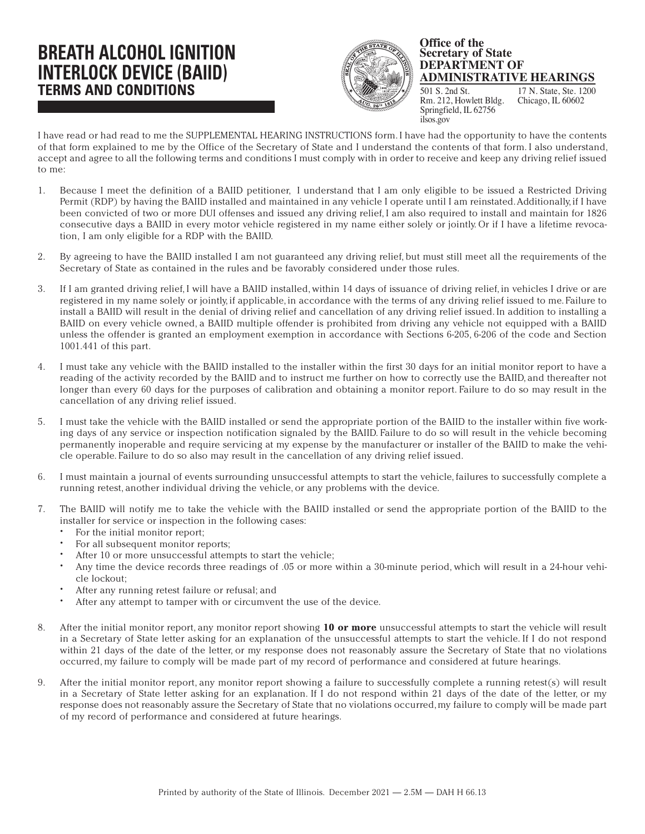## **BREATH ALCOHOL IGNITION INTERLOCK DEVICE (BAIID) TERMS AND CONDITIONS**



## **Office of the Secretary of State DEPARTMENT OF ADMINISTRATIVE HEARINGS**

17 N. State, Ste. 1200 Chicago, IL 60602 501 S. 2nd St. Rm. 212, Howlett Bldg. Springfield, IL 62756 ilsos.gov

I have read or had read to me the SUPPLEMENTAL HEARING INSTRUCTIONS form. I have had the opportunity to have the contents of that form explained to me by the Office of the Secretary of State and I understand the contents of that form. I also understand, accept and agree to all the following terms and conditions I must comply with in order to receive and keep any driving relief issued to me:

- 1. Because I meet the definition of a BAIID petitioner, I understand that I am only eligible to be issued a Restricted Driving Permit (RDP) by having the BAIID installed and maintained in any vehicle I operate until I am reinstated. Additionally, if I have been convicted of two or more DUI offenses and issued any driving relief, I am also required to install and maintain for 1826 consecutive days a BAIID in every motor vehicle registered in my name either solely or jointly. Or if I have a lifetime revocation, I am only eligible for a RDP with the BAIID.
- 2. By agreeing to have the BAIID installed I am not guaranteed any driving relief, but must still meet all the requirements of the Secretary of State as contained in the rules and be favorably considered under those rules.
- 3. If I am granted driving relief, I will have a BAIID installed, within 14 days of issuance of driving relief, in vehicles I drive or are registered in my name solely or jointly, if applicable, in accordance with the terms of any driving relief issued to me. Failure to install a BAIID will result in the denial of driving relief and cancellation of any driving relief issued. In addition to installing a BAIID on every vehicle owned, a BAIID multiple offender is prohibited from driving any vehicle not equipped with a BAIID unless the offender is granted an employment exemption in accordance with Sections 6-205, 6-206 of the code and Section 1001.441 of this part.
- 4. I must take any vehicle with the BAIID installed to the installer within the first 30 days for an initial monitor report to have a reading of the activity recorded by the BAIID and to instruct me further on how to correctly use the BAIID, and thereafter not longer than every 60 days for the purposes of calibration and obtaining a monitor report. Failure to do so may result in the cancellation of any driving relief issued.
- 5. I must take the vehicle with the BAIID installed or send the appropriate portion of the BAIID to the installer within five working days of any service or inspection notification signaled by the BAIID. Failure to do so will result in the vehicle becoming permanently inoperable and require servicing at my expense by the manufacturer or installer of the BAIID to make the vehicle operable. Failure to do so also may result in the cancellation of any driving relief issued.
- 6. I must maintain a journal of events surrounding unsuccessful attempts to start the vehicle, failures to successfully complete a running retest, another individual driving the vehicle, or any problems with the device.
- 7. The BAIID will notify me to take the vehicle with the BAIID installed or send the appropriate portion of the BAIID to the installer for service or inspection in the following cases:
	- For the initial monitor report;
	- For all subsequent monitor reports;
	- After 10 or more unsuccessful attempts to start the vehicle;
	- Any time the device records three readings of .05 or more within a 30-minute period, which will result in a 24-hour vehicle lockout;
	- After any running retest failure or refusal; and
	- After any attempt to tamper with or circumvent the use of the device.
- 8. After the initial monitor report, any monitor report showing **10 or more** unsuccessful attempts to start the vehicle will result in a Secretary of State letter asking for an explanation of the unsuccessful attempts to start the vehicle. If I do not respond within 21 days of the date of the letter, or my response does not reasonably assure the Secretary of State that no violations occurred, my failure to comply will be made part of my record of performance and considered at future hearings.
- 9. After the initial monitor report, any monitor report showing a failure to successfully complete a running retest(s) will result in a Secretary of State letter asking for an explanation. If I do not respond within 21 days of the date of the letter, or my response does not reasonably assure the Secretary of State that no violations occurred, my failure to comply will be made part of my record of performance and considered at future hearings.